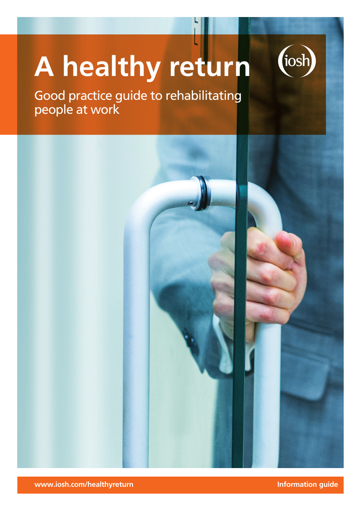# **A healthy return**



Good practice guide to rehabilitating people at work

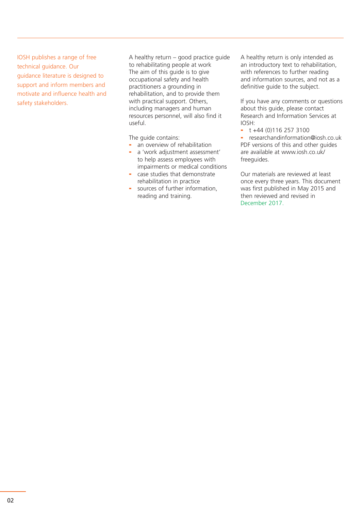IOSH publishes a range of free technical guidance. Our guidance literature is designed to support and inform members and motivate and influence health and safety stakeholders.

A healthy return – good practice guide to rehabilitating people at work The aim of this guide is to give occupational safety and health practitioners a grounding in rehabilitation, and to provide them with practical support. Others, including managers and human resources personnel, will also find it useful.

The guide contains:

- an overview of rehabilitation

- a 'work adjustment assessment' to help assess employees with impairments or medical conditions
- case studies that demonstrate rehabilitation in practice
- sources of further information, reading and training.

A healthy return is only intended as an introductory text to rehabilitation, with references to further reading and information sources, and not as a definitive guide to the subject.

If you have any comments or questions about this guide, please contact Research and Information Services at IOSH:

 $\pm$  t +44 (0)116 257 3100

- researchandinformation@iosh.co.uk PDF versions of this and other guides are available at www.iosh.co.uk/ freeguides.

Our materials are reviewed at least once every three years. This document was first published in May 2015 and then reviewed and revised in December 2017.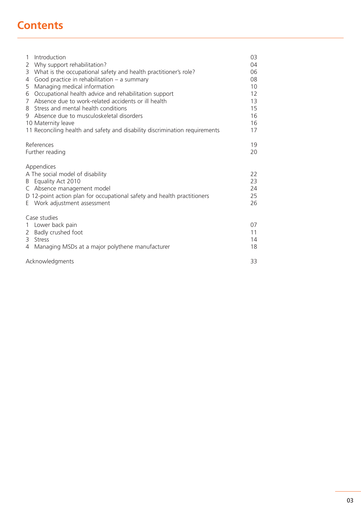# **Contents**

| Introduction<br>1<br>Why support rehabilitation?<br>2<br>What is the occupational safety and health practitioner's role?<br>3<br>Good practice in rehabilitation $-$ a summary<br>4<br>Managing medical information<br>5<br>Occupational health advice and rehabilitation support<br>6<br>Absence due to work-related accidents or ill health<br>7<br>Stress and mental health conditions<br>8<br>9 Absence due to musculoskeletal disorders<br>10 Maternity leave<br>11 Reconciling health and safety and disability discrimination requirements | 03<br>04<br>06<br>08<br>10<br>12<br>13<br>15<br>16<br>16<br>17 |
|---------------------------------------------------------------------------------------------------------------------------------------------------------------------------------------------------------------------------------------------------------------------------------------------------------------------------------------------------------------------------------------------------------------------------------------------------------------------------------------------------------------------------------------------------|----------------------------------------------------------------|
| References<br>Further reading                                                                                                                                                                                                                                                                                                                                                                                                                                                                                                                     | 19<br>20                                                       |
| Appendices<br>A The social model of disability<br>B Equality Act 2010<br>C Absence management model<br>D 12-point action plan for occupational safety and health practitioners<br>E Work adjustment assessment                                                                                                                                                                                                                                                                                                                                    | 22<br>23<br>24<br>25<br>26                                     |
| Case studies<br>Lower back pain<br>1<br>Badly crushed foot<br>2<br>3<br>Stress<br>Managing MSDs at a major polythene manufacturer<br>4                                                                                                                                                                                                                                                                                                                                                                                                            | 07<br>11<br>14<br>18                                           |
| Acknowledgments                                                                                                                                                                                                                                                                                                                                                                                                                                                                                                                                   | 33                                                             |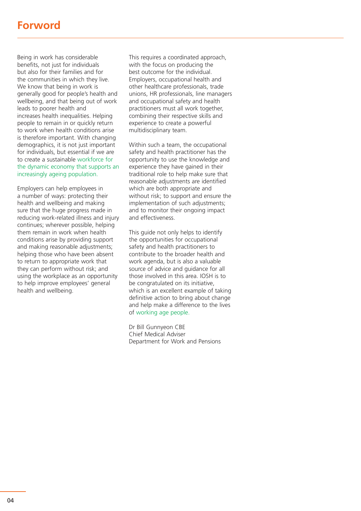# **Forword**

Being in work has considerable benefits, not just for individuals but also for their families and for the communities in which they live. We know that being in work is generally good for people's health and wellbeing, and that being out of work leads to poorer health and increases health inequalities. Helping people to remain in or quickly return to work when health conditions arise is therefore important. With changing demographics, it is not just important for individuals, but essential if we are to create a sustainable workforce for the dynamic economy that supports an increasingly ageing population.

Employers can help employees in a number of ways: protecting their health and wellbeing and making sure that the huge progress made in reducing work-related illness and injury continues; wherever possible, helping them remain in work when health conditions arise by providing support and making reasonable adjustments; helping those who have been absent to return to appropriate work that they can perform without risk; and using the workplace as an opportunity to help improve employees' general health and wellbeing.

This requires a coordinated approach, with the focus on producing the best outcome for the individual. Employers, occupational health and other healthcare professionals, trade unions, HR professionals, line managers and occupational safety and health practitioners must all work together, combining their respective skills and experience to create a powerful multidisciplinary team.

Within such a team, the occupational safety and health practitioner has the opportunity to use the knowledge and experience they have gained in their traditional role to help make sure that reasonable adjustments are identified which are both appropriate and without risk; to support and ensure the implementation of such adjustments; and to monitor their ongoing impact and effectiveness.

This guide not only helps to identify the opportunities for occupational safety and health practitioners to contribute to the broader health and work agenda, but is also a valuable source of advice and guidance for all those involved in this area. IOSH is to be congratulated on its initiative, which is an excellent example of taking definitive action to bring about change and help make a difference to the lives of working age people.

Dr Bill Gunnyeon CBE Chief Medical Adviser Department for Work and Pensions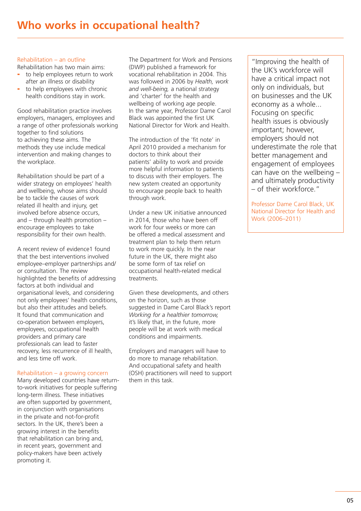#### Rehabilitation – an outline

Rehabilitation has two main aims:

- to help employees return to work after an illness or disability
- to help employees with chronic health conditions stay in work.

Good rehabilitation practice involves employers, managers, employees and a range of other professionals working together to find solutions to achieving these aims. The methods they use include medical intervention and making changes to the workplace.

Rehabilitation should be part of a wider strategy on employees' health and wellbeing, whose aims should be to tackle the causes of work related ill health and injury, get involved before absence occurs, and – through health promotion – encourage employees to take responsibility for their own health.

A recent review of evidence1 found that the best interventions involved employee–employer partnerships and/ or consultation. The review highlighted the benefits of addressing factors at both individual and organisational levels, and considering not only employees' health conditions, but also their attitudes and beliefs. It found that communication and co-operation between employers, employees, occupational health providers and primary care professionals can lead to faster recovery, less recurrence of ill health, and less time off work.

### Rehabilitation – a growing concern

Many developed countries have returnto-work initiatives for people suffering long-term illness. These initiatives are often supported by government, in conjunction with organisations in the private and not-for-profit sectors. In the UK, there's been a growing interest in the benefits that rehabilitation can bring and, in recent years, government and policy-makers have been actively promoting it.

The Department for Work and Pensions (DWP) published a framework for vocational rehabilitation in 2004. This was followed in 2006 by *Health, work and well-being,* a national strategy and 'charter' for the health and wellbeing of working age people. In the same year, Professor Dame Carol Black was appointed the first UK National Director for Work and Health.

The introduction of the 'fit note' in April 2010 provided a mechanism for doctors to think about their patients' ability to work and provide more helpful information to patients to discuss with their employers. The new system created an opportunity to encourage people back to health through work.

Under a new UK initiative announced in 2014, those who have been off work for four weeks or more can be offered a medical assessment and treatment plan to help them return to work more quickly. In the near future in the UK, there might also be some form of tax relief on occupational health-related medical treatments.

Given these developments, and others on the horizon, such as those suggested in Dame Carol Black's report *Working for a healthier tomorrow,* it's likely that, in the future, more people will be at work with medical conditions and impairments.

Employers and managers will have to do more to manage rehabilitation. And occupational safety and health (OSH) practitioners will need to support them in this task.

"Improving the health of the UK's workforce will have a critical impact not only on individuals, but on businesses and the UK economy as a whole... Focusing on specific health issues is obviously important; however, employers should not underestimate the role that better management and engagement of employees can have on the wellbeing – and ultimately productivity – of their workforce."

Professor Dame Carol Black, UK National Director for Health and Work (2006–2011)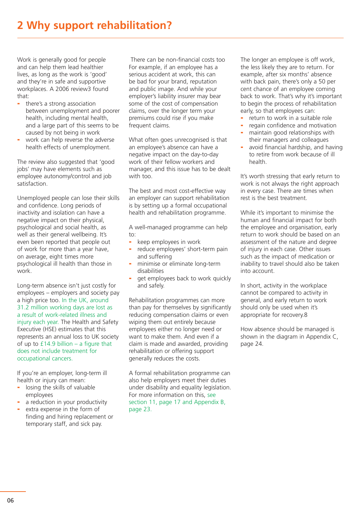Work is generally good for people and can help them lead healthier lives, as long as the work is 'good' and they're in safe and supportive workplaces. A 2006 review3 found that:

- there's a strong association between unemployment and poorer health, including mental health, and a large part of this seems to be caused by not being in work
- work can help reverse the adverse health effects of unemployment.

The review also suggested that 'good jobs' may have elements such as employee autonomy/control and job satisfaction.

Unemployed people can lose their skills and confidence. Long periods of inactivity and isolation can have a negative impact on their physical, psychological and social health, as well as their general wellbeing. It's even been reported that people out of work for more than a year have, on average, eight times more psychological ill health than those in work.

Long-term absence isn't just costly for employees – employers and society pay a high price too. In the UK, around 31.2 million working days are lost as a result of work-related illness and injury each year. The Health and Safety Executive (HSE) estimates that this represents an annual loss to UK society of up to  $£14.9$  billion – a figure that does not include treatment for occupational cancers.

If you're an employer, long-term ill health or injury can mean:

- losing the skills of valuable employees
- a reduction in your productivity
- extra expense in the form of finding and hiring replacement or temporary staff, and sick pay.

 There can be non-financial costs too For example, if an employee has a serious accident at work, this can be bad for your brand, reputation and public image. And while your employer's liability insurer may bear some of the cost of compensation claims, over the longer term your premiums could rise if you make frequent claims.

What often goes unrecognised is that an employee's absence can have a negative impact on the day-to-day work of their fellow workers and manager, and this issue has to be dealt with too.

The best and most cost-effective way an employer can support rehabilitation is by setting up a formal occupational health and rehabilitation programme.

A well-managed programme can help to:

- keep employees in work
- reduce employees' short-term pain and suffering
- minimise or eliminate long-term disabilities
- get employees back to work quickly and safely.

Rehabilitation programmes can more than pay for themselves by significantly reducing compensation claims or even wiping them out entirely because employees either no longer need or want to make them. And even if a claim is made and awarded, providing rehabilitation or offering support generally reduces the costs.

A formal rehabilitation programme can also help employers meet their duties under disability and equality legislation. For more information on this, see section 11, page 17 and Appendix B. page 23.

The longer an employee is off work, the less likely they are to return. For example, after six months' absence with back pain, there's only a 50 per cent chance of an employee coming back to work. That's why it's important to begin the process of rehabilitation early, so that employees can:

- return to work in a suitable role
- regain confidence and motivation
- maintain good relationships with their managers and colleagues
- avoid financial hardship, and having to retire from work because of ill health.

It's worth stressing that early return to work is not always the right approach in every case. There are times when rest is the best treatment.

While it's important to minimise the human and financial impact for both the employee and organisation, early return to work should be based on an assessment of the nature and degree of injury in each case. Other issues such as the impact of medication or inability to travel should also be taken into account.

In short, activity in the workplace cannot be compared to activity in general, and early return to work should only be used when it's appropriate for recovery.8

How absence should be managed is shown in the diagram in Appendix C, page 24.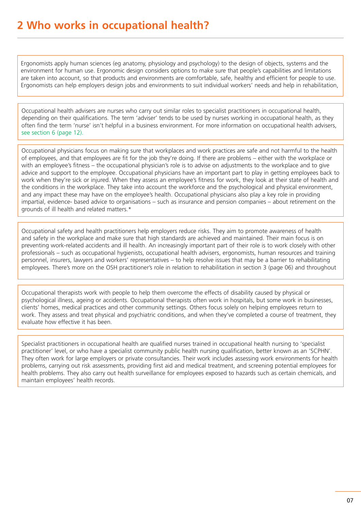Ergonomists apply human sciences (eg anatomy, physiology and psychology) to the design of objects, systems and the environment for human use. Ergonomic design considers options to make sure that people's capabilities and limitations are taken into account, so that products and environments are comfortable, safe, healthy and efficient for people to use. Ergonomists can help employers design jobs and environments to suit individual workers' needs and help in rehabilitation,

Occupational health advisers are nurses who carry out similar roles to specialist practitioners in occupational health, depending on their qualifications. The term 'adviser' tends to be used by nurses working in occupational health, as they often find the term 'nurse' isn't helpful in a business environment. For more information on occupational health advisers, see section 6 (page 12).

Occupational physicians focus on making sure that workplaces and work practices are safe and not harmful to the health of employees, and that employees are fit for the job they're doing. If there are problems – either with the workplace or with an employee's fitness – the occupational physician's role is to advise on adjustments to the workplace and to give advice and support to the employee. Occupational physicians have an important part to play in getting employees back to work when they're sick or injured. When they assess an employee's fitness for work, they look at their state of health and the conditions in the workplace. They take into account the workforce and the psychological and physical environment, and any impact these may have on the employee's health. Occupational physicians also play a key role in providing impartial, evidence- based advice to organisations – such as insurance and pension companies – about retirement on the grounds of ill health and related matters.\*

Occupational safety and health practitioners help employers reduce risks. They aim to promote awareness of health and safety in the workplace and make sure that high standards are achieved and maintained. Their main focus is on preventing work-related accidents and ill health. An increasingly important part of their role is to work closely with other professionals – such as occupational hygienists, occupational health advisers, ergonomists, human resources and training personnel, insurers, lawyers and workers' representatives – to help resolve issues that may be a barrier to rehabilitating employees. There's more on the OSH practitioner's role in relation to rehabilitation in section 3 (page 06) and throughout

Occupational therapists work with people to help them overcome the effects of disability caused by physical or psychological illness, ageing or accidents. Occupational therapists often work in hospitals, but some work in businesses, clients' homes, medical practices and other community settings. Others focus solely on helping employees return to work. They assess and treat physical and psychiatric conditions, and when they've completed a course of treatment, they evaluate how effective it has been.

Specialist practitioners in occupational health are qualified nurses trained in occupational health nursing to 'specialist practitioner' level, or who have a specialist community public health nursing qualification, better known as an 'SCPHN'. They often work for large employers or private consultancies. Their work includes assessing work environments for health problems, carrying out risk assessments, providing first aid and medical treatment, and screening potential employees for health problems. They also carry out health surveillance for employees exposed to hazards such as certain chemicals, and maintain employees' health records.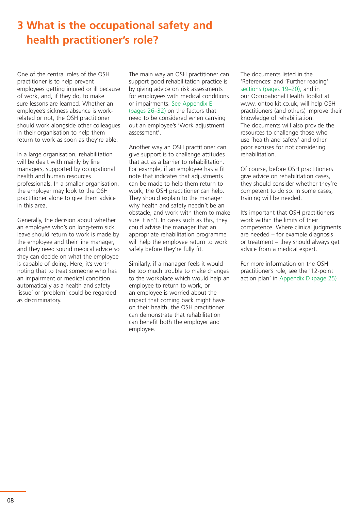# **3 What is the occupational safety and health practitioner's role?**

One of the central roles of the OSH practitioner is to help prevent employees getting injured or ill because of work, and, if they do, to make sure lessons are learned. Whether an employee's sickness absence is workrelated or not, the OSH practitioner should work alongside other colleagues in their organisation to help them return to work as soon as they're able.

In a large organisation, rehabilitation will be dealt with mainly by line managers, supported by occupational health and human resources professionals. In a smaller organisation, the employer may look to the OSH practitioner alone to give them advice in this area.

Generally, the decision about whether an employee who's on long-term sick leave should return to work is made by the employee and their line manager, and they need sound medical advice so they can decide on what the employee is capable of doing. Here, it's worth noting that to treat someone who has an impairment or medical condition automatically as a health and safety 'issue' or 'problem' could be regarded as discriminatory.

The main way an OSH practitioner can support good rehabilitation practice is by giving advice on risk assessments for employees with medical conditions or impairments. See Appendix E (pages 26–32) on the factors that need to be considered when carrying out an employee's 'Work adjustment assessment'.

Another way an OSH practitioner can give support is to challenge attitudes that act as a barrier to rehabilitation. For example, if an employee has a fit note that indicates that adjustments can be made to help them return to work, the OSH practitioner can help. They should explain to the manager why health and safety needn't be an obstacle, and work with them to make sure it isn't. In cases such as this, they could advise the manager that an appropriate rehabilitation programme will help the employee return to work safely before they're fully fit.

Similarly, if a manager feels it would be too much trouble to make changes to the workplace which would help an employee to return to work, or an employee is worried about the impact that coming back might have on their health, the OSH practitioner can demonstrate that rehabilitation can benefit both the employer and employee.

The documents listed in the 'References' and 'Further reading' sections (pages 19–20), and in our Occupational Health Toolkit at www. ohtoolkit.co.uk, will help OSH practitioners (and others) improve their knowledge of rehabilitation. The documents will also provide the resources to challenge those who use 'health and safety' and other poor excuses for not considering rehabilitation.

Of course, before OSH practitioners give advice on rehabilitation cases, they should consider whether they're competent to do so. In some cases, training will be needed.

It's important that OSH practitioners work within the limits of their competence. Where clinical judgments are needed – for example diagnosis or treatment – they should always get advice from a medical expert.

For more information on the OSH practitioner's role, see the '12-point action plan' in Appendix D (page 25)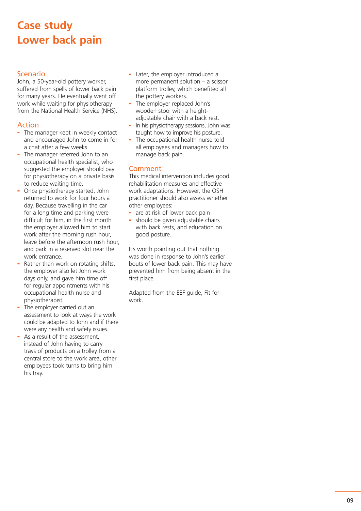# Scenario

John, a 50-year-old pottery worker, suffered from spells of lower back pain for many years. He eventually went off work while waiting for physiotherapy from the National Health Service (NHS).

# Action

- The manager kept in weekly contact and encouraged John to come in for a chat after a few weeks.
- The manager referred John to an occupational health specialist, who suggested the employer should pay for physiotherapy on a private basis to reduce waiting time.
- Once physiotherapy started, John returned to work for four hours a day. Because travelling in the car for a long time and parking were difficult for him, in the first month the employer allowed him to start work after the morning rush hour, leave before the afternoon rush hour, and park in a reserved slot near the work entrance.
- Rather than work on rotating shifts, the employer also let John work days only, and gave him time off for regular appointments with his occupational health nurse and physiotherapist.
- The employer carried out an assessment to look at ways the work could be adapted to John and if there were any health and safety issues.
- As a result of the assessment. instead of John having to carry trays of products on a trolley from a central store to the work area, other employees took turns to bring him his tray.
- Later, the employer introduced a more permanent solution – a scissor platform trolley, which benefited all the pottery workers.
- The employer replaced John's wooden stool with a heightadjustable chair with a back rest.
- In his physiotherapy sessions, John was taught how to improve his posture.
- The occupational health nurse told all employees and managers how to manage back pain.

### Comment

This medical intervention includes good rehabilitation measures and effective work adaptations. However, the OSH practitioner should also assess whether other employees:

- are at risk of lower back pain
- should be given adjustable chairs with back rests, and education on good posture.

It's worth pointing out that nothing was done in response to John's earlier bouts of lower back pain. This may have prevented him from being absent in the first place.

Adapted from the EEF guide, Fit for work.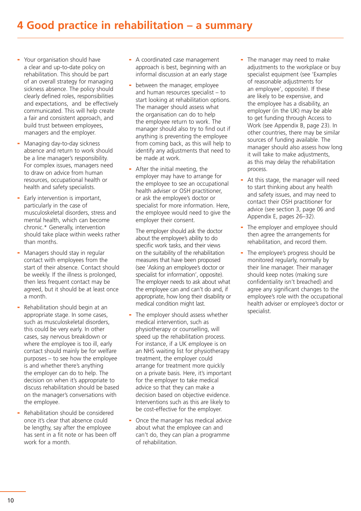- Your organisation should have a clear and up-to-date policy on rehabilitation. This should be part of an overall strategy for managing sickness absence. The policy should clearly defined roles, responsibilities and expectations, and be effectively communicated. This will help create a fair and consistent approach, and build trust between employees, managers and the employer.
- Managing day-to-day sickness absence and return to work should be a line manager's responsibility. For complex issues, managers need to draw on advice from human resources, occupational health or health and safety specialists.
- Early intervention is important, particularly in the case of musculoskeletal disorders, stress and mental health, which can become chronic.\* Generally, intervention should take place within weeks rather than months.
- Managers should stay in regular contact with employees from the start of their absence. Contact should be weekly. If the illness is prolonged, then less frequent contact may be agreed, but it should be at least once a month.
- Rehabilitation should begin at an appropriate stage. In some cases, such as musculoskeletal disorders, this could be very early. In other cases, say nervous breakdown or where the employee is too ill, early contact should mainly be for welfare purposes – to see how the employee is and whether there's anything the employer can do to help. The decision on when it's appropriate to discuss rehabilitation should be based on the manager's conversations with the employee.
- Rehabilitation should be considered once it's clear that absence could be lengthy, say after the employee has sent in a fit note or has been off work for a month.
- A coordinated case management approach is best, beginning with an informal discussion at an early stage
- between the manager, employee and human resources specialist – to start looking at rehabilitation options. The manager should assess what the organisation can do to help the employee return to work. The manager should also try to find out if anything is preventing the employee from coming back, as this will help to identify any adjustments that need to be made at work.
- After the initial meeting, the employer may have to arrange for the employee to see an occupational health adviser or OSH practitioner, or ask the employee's doctor or specialist for more information. Here, the employee would need to give the employer their consent.

 The employer should ask the doctor about the employee's ability to do specific work tasks, and their views on the suitability of the rehabilitation measures that have been proposed (see 'Asking an employee's doctor or specialist for information', opposite). The employer needs to ask about what the employee can and can't do and, if appropriate, how long their disability or medical condition might last.

- The employer should assess whether medical intervention, such as physiotherapy or counselling, will speed up the rehabilitation process. For instance, if a UK employee is on an NHS waiting list for physiotherapy treatment, the employer could arrange for treatment more quickly on a private basis. Here, it's important for the employer to take medical advice so that they can make a decision based on objective evidence. Interventions such as this are likely to be cost-effective for the employer.
- Once the manager has medical advice about what the employee can and can't do, they can plan a programme of rehabilitation.
- The manager may need to make adjustments to the workplace or buy specialist equipment (see 'Examples of reasonable adjustments for an employee', opposite). If these are likely to be expensive, and the employee has a disability, an employer (in the UK) may be able to get funding through Access to Work (see Appendix B, page 23). In other countries, there may be similar sources of funding available. The manager should also assess how long it will take to make adjustments, as this may delay the rehabilitation process.
- At this stage, the manager will need to start thinking about any health and safety issues, and may need to contact their OSH practitioner for advice (see section 3, page 06 and Appendix E, pages 26–32).
- The employer and employee should then agree the arrangements for rehabilitation, and record them.
- The employee's progress should be monitored regularly, normally by their line manager. Their manager should keep notes (making sure confidentiality isn't breached) and agree any significant changes to the employee's role with the occupational health adviser or employee's doctor or specialist.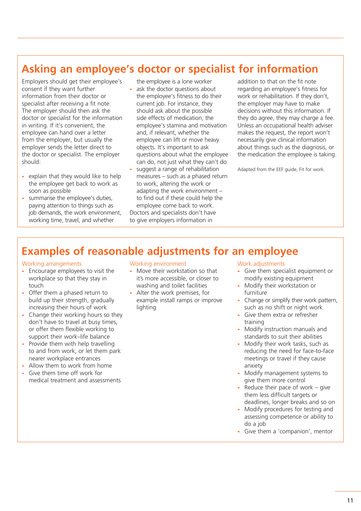# **Asking an employee's doctor or specialist for information**

Employers should get their employee's consent if they want further information from their doctor or specialist after receiving a fit note. The employer should then ask the doctor or specialist for the information in writing. If it's convenient, the employee can hand over a letter from the employer, but usually the employer sends the letter direct to the doctor or specialist. The employer should:

- explain that they would like to help the employee get back to work as soon as possible
- summarise the employee's duties, paying attention to things such as job demands, the work environment, working time, travel, and whether

the employee is a lone worker

- ask the doctor questions about the employee's fitness to do their current job. For instance, they should ask about the possible side effects of medication, the employee's stamina and motivation and, if relevant, whether the employee can lift or move heavy objects. It's important to ask questions about what the employee can do, not just what they can't do
- suggest a range of rehabilitation measures – such as a phased return to work, altering the work or adapting the work environment – to find out if these could help the employee come back to work. Doctors and specialists don't have to give employers information in

addition to that on the fit note regarding an employee's fitness for work or rehabilitation. If they don't, the employer may have to make decisions without this information. If they do agree, they may charge a fee. Unless an occupational health adviser makes the request, the report won't necessarily give clinical information about things such as the diagnosis, or the medication the employee is taking.

Adapted from the EEF guide, Fit for work.

# **Examples of reasonable adjustments for an employee**

#### Working arrangements

- Encourage employees to visit the workplace so that they stay in touch
- Offer them a phased return to build up their strength, gradually increasing their hours of work
- Change their working hours so they don't have to travel at busy times, or offer them flexible working to support their work–life balance
- Provide them with help travelling to and from work, or let them park nearer workplace entrances
- Allow them to work from home - Give them time off work for
- medical treatment and assessments

#### Working environment

- Move their workstation so that it's more accessible, or closer to washing and toilet facilities
- Alter the work premises, for example install ramps or improve lighting

#### Work adjustments

- Give them specialist equipment or modify existing equipment
- Modify their workstation or furniture
- Change or simplify their work pattern, such as no shift or night work
- Give them extra or refresher training
- Modify instruction manuals and standards to suit their abilities
- Modify their work tasks, such as reducing the need for face-to-face meetings or travel if they cause anxiety
- Modify management systems to give them more control
- Reduce their pace of work  $-$  give them less difficult targets or deadlines, longer breaks and so on
- Modify procedures for testing and assessing competence or ability to do a job
- Give them a 'companion', mentor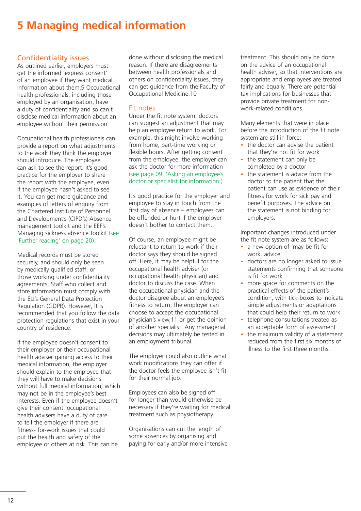### Confidentiality issues

As outlined earlier, employers must get the informed 'express consent' of an employee if they want medical information about them.9 Occupational health professionals, including those employed by an organisation, have a duty of confidentiality and so can't disclose medical information about an employee without their permission.

Occupational health professionals can provide a report on what adjustments to the work they think the employer should introduce. The employee can ask to see the report. It's good practice for the employer to share the report with the employee, even if the employee hasn't asked to see it. You can get more guidance and examples of letters of enquiry from the Chartered Institute of Personnel and Development's (CIPD's) Absence management toolkit and the EEF's Managing sickness absence toolkit (see 'Further reading' on page 20).

Medical records must be stored securely, and should only be seen by medically qualified staff, or those working under confidentiality agreements. Staff who collect and store information must comply with the EU's General Data Protection Regulation (GDPR). However, it is recommended that you follow the data protection regulations that exist in your country of residence.

If the employee doesn't consent to their employer or their occupational health adviser gaining access to their medical information, the employer should explain to the employee that they will have to make decisions without full medical information, which may not be in the employee's best interests. Even if the employee doesn't give their consent, occupational health advisers have a duty of care to tell the employer if there are fitness- for-work issues that could put the health and safety of the employee or others at risk. This can be

done without disclosing the medical reason. If there are disagreements between health professionals and others on confidentiality issues, they can get guidance from the Faculty of Occupational Medicine.10

### Fit notes

Under the fit note system, doctors can suggest an adjustment that may help an employee return to work. For example, this might involve working from home, part-time working or flexible hours. After getting consent from the employee, the employer can ask the doctor for more information (see page 09, 'Asking an employee's doctor or specialist for information').

It's good practice for the employer and employee to stay in touch from the first day of absence – employees can be offended or hurt if the employer doesn't bother to contact them.

Of course, an employee might be reluctant to return to work if their doctor says they should be signed off. Here, it may be helpful for the occupational health adviser (or occupational health physician) and doctor to discuss the case. When the occupational physician and the doctor disagree about an employee's fitness to return, the employer can choose to accept the occupational physician's view,11 or get the opinion of another specialist. Any managerial decisions may ultimately be tested in an employment tribunal.

The employer could also outline what work modifications they can offer if the doctor feels the employee isn't fit for their normal job.

Employees can also be signed off for longer than would otherwise be necessary if they're waiting for medical treatment such as physiotherapy.

Organisations can cut the length of some absences by organising and paying for early and/or more intensive treatment. This should only be done on the advice of an occupational health adviser, so that interventions are appropriate and employees are treated fairly and equally. There are potential tax implications for businesses that provide private treatment for nonwork-related conditions.

Many elements that were in place before the introduction of the fit note system are still in force:

- the doctor can advise the patient that they're not fit for work
- the statement can only be completed by a doctor
- the statement is advice from the doctor to the patient that the patient can use as evidence of their fitness for work for sick pay and benefit purposes. The advice on the statement is not binding for employers.

Important changes introduced under the fit note system are as follows:

- a new option of 'may be fit for work. advice'
- doctors are no longer asked to issue statements confirming that someone is fit for work
- more space for comments on the practical effects of the patient's condition, with tick-boxes to indicate simple adjustments or adaptations that could help their return to work
- telephone consultations treated as an acceptable form of assessment
- the maximum validity of a statement reduced from the first six months of illness to the first three months.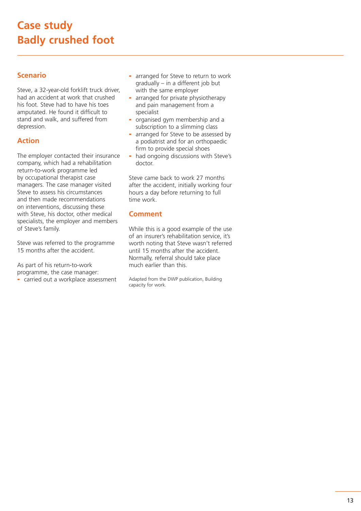# **Scenario**

Steve, a 32-year-old forklift truck driver, had an accident at work that crushed his foot. Steve had to have his toes amputated. He found it difficult to stand and walk, and suffered from depression.

### **Action**

The employer contacted their insurance company, which had a rehabilitation return-to-work programme led by occupational therapist case managers. The case manager visited Steve to assess his circumstances and then made recommendations on interventions, discussing these with Steve, his doctor, other medical specialists, the employer and members of Steve's family.

Steve was referred to the programme 15 months after the accident.

As part of his return-to-work programme, the case manager:

- carried out a workplace assessment

- arranged for Steve to return to work gradually – in a different job but with the same employer
- arranged for private physiotherapy and pain management from a specialist
- organised gym membership and a subscription to a slimming class
- arranged for Steve to be assessed by a podiatrist and for an orthopaedic firm to provide special shoes
- had ongoing discussions with Steve's doctor.

Steve came back to work 27 months after the accident, initially working four hours a day before returning to full time work.

### **Comment**

While this is a good example of the use of an insurer's rehabilitation service, it's worth noting that Steve wasn't referred until 15 months after the accident. Normally, referral should take place much earlier than this.

Adapted from the DWP publication, Building capacity for work.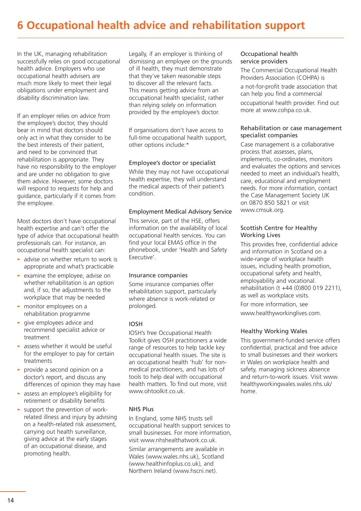# **6 Occupational health advice and rehabilitation support**

In the UK, managing rehabilitation successfully relies on good occupational health advice. Employers who use occupational health advisers are much more likely to meet their legal obligations under employment and disability discrimination law.

If an employer relies on advice from the employee's doctor, they should bear in mind that doctors should only act in what they consider to be the best interests of their patient, and need to be convinced that rehabilitation is appropriate. They have no responsibility to the employer and are under no obligation to give them advice. However, some doctors will respond to requests for help and guidance, particularly if it comes from the employee.

Most doctors don't have occupational health expertise and can't offer the type of advice that occupational health professionals can. For instance, an occupational health specialist can:

- advise on whether return to work is appropriate and what's practicable
- examine the employee, advise on whether rehabilitation is an option and, if so, the adjustments to the workplace that may be needed
- monitor employees on a rehabilitation programme
- give employees advice and recommend specialist advice or treatment
- assess whether it would be useful for the employer to pay for certain treatments
- provide a second opinion on a doctor's report, and discuss any differences of opinion they may have
- assess an employee's eligibility for retirement or disability benefits
- support the prevention of workrelated illness and injury by advising on a health-related risk assessment, carrying out health surveillance, giving advice at the early stages of an occupational disease, and promoting health.

Legally, if an employer is thinking of dismissing an employee on the grounds of ill health, they must demonstrate that they've taken reasonable steps to discover all the relevant facts. This means getting advice from an occupational health specialist, rather than relying solely on information provided by the employee's doctor.

If organisations don't have access to full-time occupational health support, other options include:\*

#### Employee's doctor or specialist

While they may not have occupational health expertise, they will understand the medical aspects of their patient's condition.

#### Employment Medical Advisory Service

This service, part of the HSE, offers information on the availability of local occupational health services. You can find your local EMAS office in the phonebook, under 'Health and Safety Executive'.

#### Insurance companies

Some insurance companies offer rehabilitation support, particularly where absence is work-related or prolonged.

### IOSH

IOSH's free Occupational Health Toolkit gives OSH practitioners a wide range of resources to help tackle key occupational health issues. The site is an occupational health 'hub' for nonmedical practitioners, and has lots of tools to help deal with occupational health matters. To find out more, visit www.ohtoolkit.co.uk.

### NHS Plus

In England, some NHS trusts sell occupational health support services to small businesses. For more information, visit www.nhshealthatwork.co.uk.

Similar arrangements are available in Wales (www.wales.nhs.uk), Scotland (www.healthinfoplus.co.uk), and Northern Ireland (www.hscni.net).

### Occupational health service providers

The Commercial Occupational Health Providers Association (COHPA) is

a not-for-profit trade association that can help you find a commercial

occupational health provider. Find out more at www.cohpa.co.uk.

#### Rehabilitation or case management specialist companies

Case management is a collaborative process that assesses, plans, implements, co-ordinates, monitors and evaluates the options and services needed to meet an individual's health, care, educational and employment needs. For more information, contact the Case Management Society UK on 0870 850 5821 or visit www.cmsuk.org.

### Scottish Centre for Healthy Working Lives

This provides free, confidential advice and information in Scotland on a wide-range of workplace health issues, including health promotion, occupational safety and health, employability and vocational. rehabilitation (t +44 (0)800 019 2211), as well as workplace visits. For more information, see

www.healthyworkinglives.com.

### Healthy Working Wales

This government-funded service offers confidential, practical and free advice to small businesses and their workers in Wales on workplace health and safety, managing sickness absence and return-to-work issues. Visit www. healthyworkingwales.wales.nhs.uk/ home.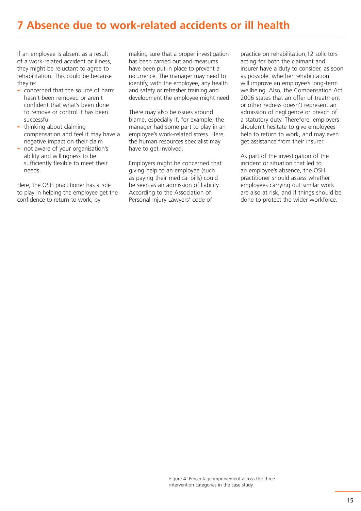# **7 Absence due to work-related accidents or ill health**

If an employee is absent as a result of a work-related accident or illness, they might be reluctant to agree to rehabilitation. This could be because they're:

- concerned that the source of harm hasn't been removed or aren't confident that what's been done to remove or control it has been successful
- thinking about claiming compensation and feel it may have a negative impact on their claim
- not aware of your organisation's ability and willingness to be sufficiently flexible to meet their needs.

Here, the OSH practitioner has a role to play in helping the employee get the confidence to return to work, by

making sure that a proper investigation has been carried out and measures have been put in place to prevent a recurrence. The manager may need to identify, with the employee, any health and safety or refresher training and development the employee might need.

There may also be issues around blame, especially if, for example, the manager had some part to play in an employee's work-related stress. Here, the human resources specialist may have to get involved.

Employers might be concerned that giving help to an employee (such as paying their medical bills) could be seen as an admission of liability. According to the Association of Personal Injury Lawyers' code of

practice on rehabilitation,12 solicitors acting for both the claimant and insurer have a duty to consider, as soon as possible, whether rehabilitation will improve an employee's long-term wellbeing. Also, the Compensation Act 2006 states that an offer of treatment or other redress doesn't represent an admission of negligence or breach of a statutory duty. Therefore, employers shouldn't hesitate to give employees help to return to work, and may even get assistance from their insurer.

As part of the investigation of the incident or situation that led to an employee's absence, the OSH practitioner should assess whether employees carrying out similar work are also at risk, and if things should be done to protect the wider workforce.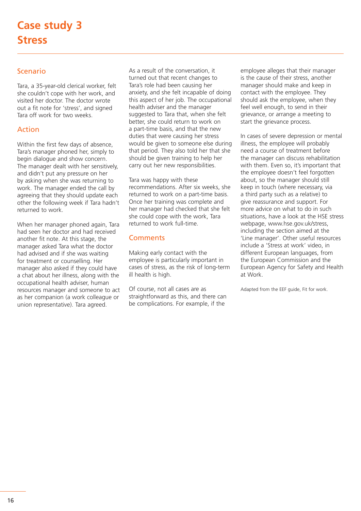# Scenario

Tara, a 35-year-old clerical worker, felt she couldn't cope with her work, and visited her doctor. The doctor wrote out a fit note for 'stress', and signed Tara off work for two weeks.

### Action

Within the first few days of absence, Tara's manager phoned her, simply to begin dialogue and show concern. The manager dealt with her sensitively, and didn't put any pressure on her by asking when she was returning to work. The manager ended the call by agreeing that they should update each other the following week if Tara hadn't returned to work.

When her manager phoned again, Tara had seen her doctor and had received another fit note. At this stage, the manager asked Tara what the doctor had advised and if she was waiting for treatment or counselling. Her manager also asked if they could have a chat about her illness, along with the occupational health adviser, human resources manager and someone to act as her companion (a work colleague or union representative). Tara agreed.

As a result of the conversation, it turned out that recent changes to Tara's role had been causing her anxiety, and she felt incapable of doing this aspect of her job. The occupational health adviser and the manager suggested to Tara that, when she felt better, she could return to work on a part-time basis, and that the new duties that were causing her stress would be given to someone else during that period. They also told her that she should be given training to help her carry out her new responsibilities.

Tara was happy with these recommendations. After six weeks, she returned to work on a part-time basis. Once her training was complete and her manager had checked that she felt she could cope with the work, Tara returned to work full-time.

### **Comments**

Making early contact with the employee is particularly important in cases of stress, as the risk of long-term ill health is high.

Of course, not all cases are as straightforward as this, and there can be complications. For example, if the

employee alleges that their manager is the cause of their stress, another manager should make and keep in contact with the employee. They should ask the employee, when they feel well enough, to send in their grievance, or arrange a meeting to start the grievance process.

In cases of severe depression or mental illness, the employee will probably need a course of treatment before the manager can discuss rehabilitation with them. Even so, it's important that the employee doesn't feel forgotten about, so the manager should still keep in touch (where necessary, via a third party such as a relative) to give reassurance and support. For more advice on what to do in such situations, have a look at the HSE stress webpage, www.hse.gov.uk/stress, including the section aimed at the 'Line manager'. Other useful resources include a 'Stress at work' video, in different European languages, from the European Commission and the European Agency for Safety and Health at Work.

Adapted from the EEF guide, Fit for work.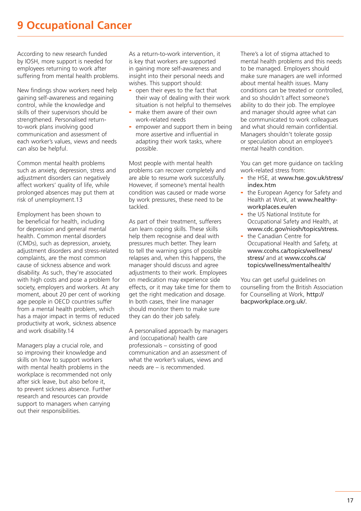# **9 Occupational Cancer**

According to new research funded by IOSH, more support is needed for employees returning to work after suffering from mental health problems.

New findings show workers need help gaining self-awareness and regaining control, while the knowledge and skills of their supervisors should be strengthened. Personalised returnto-work plans involving good communication and assessment of each worker's values, views and needs can also be helpful.

Common mental health problems such as anxiety, depression, stress and adjustment disorders can negatively affect workers' quality of life, while prolonged absences may put them at risk of unemployment.13

Employment has been shown to be beneficial for health, including for depression and general mental health. Common mental disorders (CMDs), such as depression, anxiety, adjustment disorders and stress-related complaints, are the most common cause of sickness absence and work disability. As such, they're associated with high costs and pose a problem for society, employers and workers. At any moment, about 20 per cent of working age people in OECD countries suffer from a mental health problem, which has a major impact in terms of reduced productivity at work, sickness absence and work disability.14

Managers play a crucial role, and so improving their knowledge and skills on how to support workers with mental health problems in the workplace is recommended not only after sick leave, but also before it, to prevent sickness absence. Further research and resources can provide support to managers when carrying out their responsibilities.

As a return-to-work intervention, it is key that workers are supported in gaining more self-awareness and insight into their personal needs and wishes. This support should:

- open their eyes to the fact that their way of dealing with their work situation is not helpful to themselves
- make them aware of their own work-related needs
- empower and support them in being more assertive and influential in adapting their work tasks, where possible.

Most people with mental health problems can recover completely and are able to resume work successfully. However, if someone's mental health condition was caused or made worse by work pressures, these need to be tackled.

As part of their treatment, sufferers can learn coping skills. These skills help them recognise and deal with pressures much better. They learn to tell the warning signs of possible relapses and, when this happens, the manager should discuss and agree adjustments to their work. Employees on medication may experience side effects, or it may take time for them to get the right medication and dosage. In both cases, their line manager should monitor them to make sure they can do their job safely.

A personalised approach by managers and (occupational) health care professionals – consisting of good communication and an assessment of what the worker's values, views and needs are – is recommended.

There's a lot of stigma attached to mental health problems and this needs to be managed. Employers should make sure managers are well informed about mental health issues. Many conditions can be treated or controlled, and so shouldn't affect someone's ability to do their job. The employee and manager should agree what can be communicated to work colleagues and what should remain confidential. Managers shouldn't tolerate gossip or speculation about an employee's mental health condition.

You can get more guidance on tackling work-related stress from:

- the HSE, at www.hse.gov.uk/stress/ index.htm
- the European Agency for Safety and Health at Work, at www.healthyworkplaces.eu/en
- the US National Institute for Occupational Safety and Health, at www.cdc.gov/niosh/topics/stress.
- the Canadian Centre for Occupational Health and Safety, at www.ccohs.ca/topics/wellness/ stress/ and at www.ccohs.ca/ topics/wellness/mentalhealth/

You can get useful guidelines on counselling from the British Association for Counselling at Work, http:// bacpworkplace.org.uk/.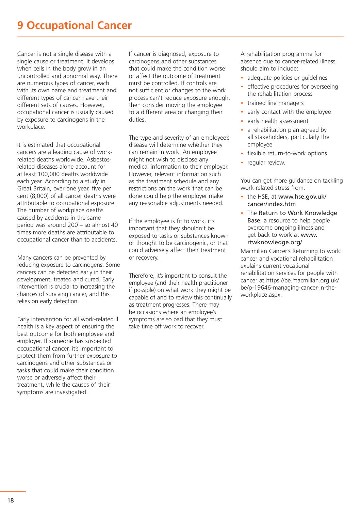# **9 Occupational Cancer**

Cancer is not a single disease with a single cause or treatment. It develops when cells in the body grow in an uncontrolled and abnormal way. There are numerous types of cancer, each with its own name and treatment and different types of cancer have their different sets of causes. However, occupational cancer is usually caused by exposure to carcinogens in the workplace.

It is estimated that occupational cancers are a leading cause of workrelated deaths worldwide. Asbestosrelated diseases alone account for at least 100,000 deaths worldwide each year. According to a study in Great Britain, over one year, five per cent (8,000) of all cancer deaths were attributable to occupational exposure. The number of workplace deaths caused by accidents in the same period was around 200 – so almost 40 times more deaths are attributable to occupational cancer than to accidents.

Many cancers can be prevented by reducing exposure to carcinogens. Some cancers can be detected early in their development, treated and cured. Early intervention is crucial to increasing the chances of surviving cancer, and this relies on early detection.

Early intervention for all work-related ill health is a key aspect of ensuring the best outcome for both employee and employer. If someone has suspected occupational cancer, it's important to protect them from further exposure to carcinogens and other substances or tasks that could make their condition worse or adversely affect their treatment, while the causes of their symptoms are investigated.

If cancer is diagnosed, exposure to carcinogens and other substances that could make the condition worse or affect the outcome of treatment must be controlled. If controls are not sufficient or changes to the work process can't reduce exposure enough, then consider moving the employee to a different area or changing their duties.

The type and severity of an employee's disease will determine whether they can remain in work. An employee might not wish to disclose any medical information to their employer. However, relevant information such as the treatment schedule and any restrictions on the work that can be done could help the employer make any reasonable adjustments needed.

If the employee is fit to work, it's important that they shouldn't be exposed to tasks or substances known or thought to be carcinogenic, or that could adversely affect their treatment or recovery.

Therefore, it's important to consult the employee (and their health practitioner if possible) on what work they might be capable of and to review this continually as treatment progresses. There may be occasions where an employee's symptoms are so bad that they must take time off work to recover.

A rehabilitation programme for absence due to cancer-related illness should aim to include:

- adequate policies or quidelines
- effective procedures for overseeing the rehabilitation process
- trained line managers
- early contact with the employee
- early health assessment
- a rehabilitation plan agreed by all stakeholders, particularly the employee
- flexible return-to-work options
- regular review.

You can get more guidance on tackling work-related stress from:

- the HSE, at www.hse.gov.uk/ cancer/index.htm
- The Return to Work Knowledge Base, a resource to help people overcome ongoing illness and get back to work at www. rtwknowledge.org/

Macmillan Cancer's Returning to work: cancer and vocational rehabilitation explains current vocational rehabilitation services for people with cancer at https://be.macmillan.org.uk/ be/p-19646-managing-cancer-in-theworkplace.aspx.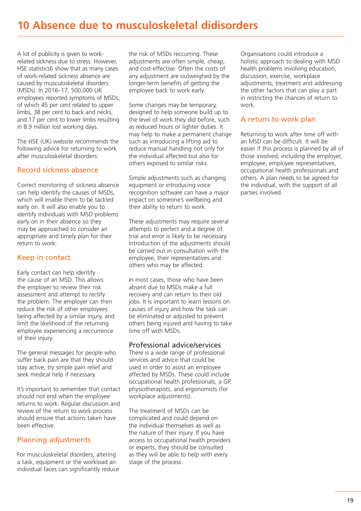A lot of publicity is given to workrelated sickness due to stress. However, HSE statistics6 show that as many cases of work-related sickness absence are caused by musculoskeletal disorders (MSDs). In 2016–17, 500,000 UK employees reported symptoms of MSDs, of which 45 per cent related to upper limbs, 38 per cent to back and necks, and 17 per cent to lower limbs resulting in 8.9 million lost working days.

The HSE (UK) website recommends the following advice for returning to work after musculoskeletal disorders:

# Record sickness absence

Correct monitoring of sickness absence can help identify the causes of MSDs, which will enable them to be tackled early on. It will also enable you to identify individuals with MSD problems early on in their absence so they may be approached to consider an appropriate and timely plan for their return to work.

## Keep in contact

Early contact can help identify the cause of an MSD. This allows the employer to review their risk assessment and attempt to rectify the problem. The employer can then reduce the risk of other employees being affected by a similar injury, and limit the likelihood of the returning employee experiencing a reccurrence of their injury.

The general messages for people who suffer back pain are that they should stay active, try simple pain relief and seek medical help if necessary.

It's important to remember that contact should not end when the employee returns to work. Regular discussion and review of the return to work process should ensure that actions taken have been effective.

# Planning adjustments

For musculoskeletal disorders, altering a task, equipment or the workload an individual faces can significantly reduce the risk of MSDs reccurring. These adiustments are often simple, cheap, and cost-effective. Often the costs of any adjustment are outweighed by the longer-term benefits of getting the employee back to work early.

Some changes may be temporary, designed to help someone build up to the level of work they did before, such as reduced hours or lighter duties. It may help to make a permanent change such as introducing a lifting aid to reduce manual handling not only for the individual affected but also for others exposed to similar risks.

Simple adjustments such as changing equipment or introducing voice recognition software can have a major impact on someone's wellbeing and their ability to return to work.

These adjustments may require several attempts to perfect and a degree of trial and error is likely to be necessary. Introduction of the adjustments should be carried out in consultation with the employee, their representatives and others who may be affected.

In most cases, those who have been absent due to MSDs make a full recovery and can return to their old jobs. It is important to learn lessons on causes of injury and how the task can be eliminated or adjusted to prevent others being injured and having to take time off with MSDs.

# Professional advice/services

There is a wide range of professional services and advice that could be used in order to assist an employee affected by MSDs. These could include occupational health professionals, a GP, physiotherapists, and ergonomists (for workplace adjustments).

The treatment of MSDs can be complicated and could depend on the individual themselves as well as the nature of their injury. If you have access to occupational health providers or experts, they should be consulted as they will be able to help with every stage of the process.

Organisations could introduce a holistic approach to dealing with MSD health problems involving education, discussion, exercise, workplace adjustments, treatment and addressing the other factors that can play a part in restricting the chances of return to work.

# A return to work plan

Returning to work after time off with an MSD can be difficult. It will be easier if this process is planned by all of those involved, including the employer, employee, employee representatives, occupational health professionals and others. A plan needs to be agreed for the individual, with the support of all parties involved.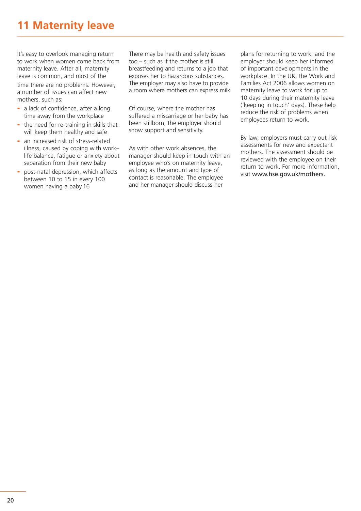# **11 Maternity leave**

It's easy to overlook managing return to work when women come back from maternity leave. After all, maternity leave is common, and most of the

time there are no problems. However, a number of issues can affect new mothers, such as:

- a lack of confidence, after a long time away from the workplace
- the need for re-training in skills that will keep them healthy and safe
- an increased risk of stress-related illness, caused by coping with work– life balance, fatigue or anxiety about separation from their new baby
- post-natal depression, which affects between 10 to 15 in every 100 women having a baby.16

There may be health and safety issues too – such as if the mother is still breastfeeding and returns to a job that exposes her to hazardous substances. The employer may also have to provide a room where mothers can express milk.

Of course, where the mother has suffered a miscarriage or her baby has been stillborn, the employer should show support and sensitivity.

As with other work absences, the manager should keep in touch with an employee who's on maternity leave, as long as the amount and type of contact is reasonable. The employee and her manager should discuss her

plans for returning to work, and the employer should keep her informed of important developments in the workplace. In the UK, the Work and Families Act 2006 allows women on maternity leave to work for up to 10 days during their maternity leave ('keeping in touch' days). These help reduce the risk of problems when employees return to work.

By law, employers must carry out risk assessments for new and expectant mothers. The assessment should be reviewed with the employee on their return to work. For more information, visit www.hse.gov.uk/mothers.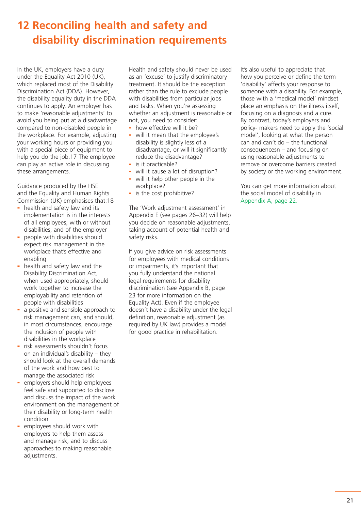# **12 Reconciling health and safety and disability discrimination requirements**

In the UK, employers have a duty under the Equality Act 2010 (UK), which replaced most of the Disability Discrimination Act (DDA). However, the disability equality duty in the DDA continues to apply. An employer has to make 'reasonable adjustments' to avoid you being put at a disadvantage compared to non-disabled people in the workplace. For example, adjusting your working hours or providing you with a special piece of equipment to help you do the job.17 The employee can play an active role in discussing these arrangements.

Guidance produced by the HSE and the Equality and Human Rights Commission (UK) emphasises that:18

- health and safety law and its implementation is in the interests of all employees, with or without disabilities, and of the employer
- people with disabilities should expect risk management in the workplace that's effective and enabling
- health and safety law and the Disability Discrimination Act, when used appropriately, should work together to increase the employability and retention of people with disabilities
- a positive and sensible approach to risk management can, and should, in most circumstances, encourage the inclusion of people with disabilities in the workplace
- risk assessments shouldn't focus on an individual's disability – they should look at the overall demands of the work and how best to manage the associated risk
- employers should help employees feel safe and supported to disclose and discuss the impact of the work environment on the management of their disability or long-term health condition
- employees should work with employers to help them assess and manage risk, and to discuss approaches to making reasonable adjustments.

Health and safety should never be used as an 'excuse' to justify discriminatory treatment. It should be the exception rather than the rule to exclude people with disabilities from particular jobs and tasks. When you're assessing whether an adjustment is reasonable or not, you need to consider:

- how effective will it be?
- will it mean that the employee's disability is slightly less of a disadvantage, or will it significantly reduce the disadvantage?
- is it practicable?
- will it cause a lot of disruption?
- will it help other people in the workplace?
- is the cost prohibitive?

The 'Work adjustment assessment' in Appendix E (see pages 26–32) will help you decide on reasonable adjustments, taking account of potential health and safety risks.

If you give advice on risk assessments for employees with medical conditions or impairments, it's important that you fully understand the national legal requirements for disability discrimination (see Appendix B, page 23 for more information on the Equality Act). Even if the employee doesn't have a disability under the legal definition, reasonable adjustment (as required by UK law) provides a model for good practice in rehabilitation.

It's also useful to appreciate that how you perceive or define the term 'disability' affects your response to someone with a disability. For example, those with a 'medical model' mindset place an emphasis on the illness itself, focusing on a diagnosis and a cure. By contrast, today's employers and policy- makers need to apply the 'social model', looking at what the person can and can't do – the functional consequencesn – and focusing on using reasonable adjustments to remove or overcome barriers created by society or the working environment.

You can get more information about the social model of disability in Appendix A, page 22.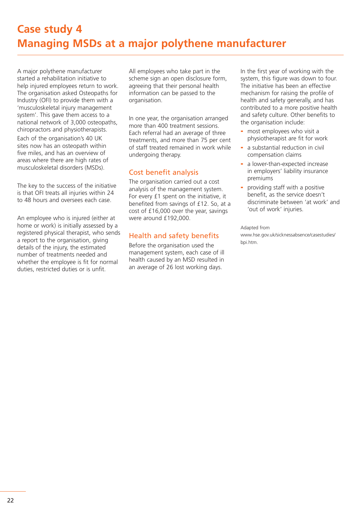A major polythene manufacturer started a rehabilitation initiative to help injured employees return to work. The organisation asked Osteopaths for Industry (OFI) to provide them with a 'musculoskeletal injury management system'. This gave them access to a national network of 3,000 osteopaths, chiropractors and physiotherapists. Each of the organisation's 40 UK sites now has an osteopath within five miles, and has an overview of areas where there are high rates of musculoskeletal disorders (MSDs).

The key to the success of the initiative is that OFI treats all injuries within 24 to 48 hours and oversees each case.

An employee who is injured (either at home or work) is initially assessed by a registered physical therapist, who sends a report to the organisation, giving details of the injury, the estimated number of treatments needed and whether the employee is fit for normal duties, restricted duties or is unfit.

All employees who take part in the scheme sign an open disclosure form. agreeing that their personal health information can be passed to the organisation.

In one year, the organisation arranged more than 400 treatment sessions. Each referral had an average of three treatments, and more than 75 per cent of staff treated remained in work while undergoing therapy.

# Cost benefit analysis

The organisation carried out a cost analysis of the management system. For every £1 spent on the initiative, it benefited from savings of £12. So, at a cost of £16,000 over the year, savings were around £192,000.

# Health and safety benefits

Before the organisation used the management system, each case of ill health caused by an MSD resulted in an average of 26 lost working days.

In the first year of working with the system, this figure was down to four. The initiative has been an effective mechanism for raising the profile of health and safety generally, and has contributed to a more positive health and safety culture. Other benefits to the organisation include:

- most employees who visit a physiotherapist are fit for work
- a substantial reduction in civil compensation claims
- a lower-than-expected increase in employers' liability insurance premiums
- providing staff with a positive benefit, as the service doesn't discriminate between 'at work' and 'out of work' injuries.

#### Adapted from

www.hse.gov.uk/sicknessabsence/casestudies/ bpi.htm.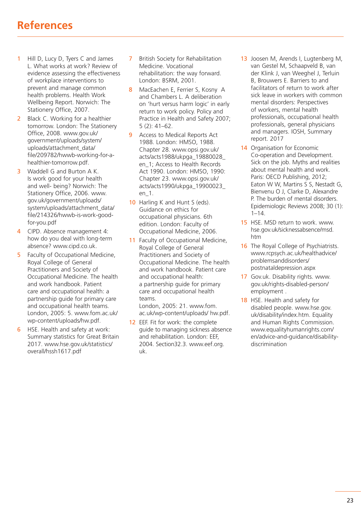- 1 Hill D, Lucy D, Tyers C and James L. What works at work? Review of evidence assessing the effectiveness of workplace interventions to prevent and manage common health problems. Health Work Wellbeing Report. Norwich: The Stationery Office, 2007.
- 2 Black C. Working for a healthier tomorrow. London: The Stationery Office, 2008. www.gov.uk/ government/uploads/system/ uploads/attachment\_data/ file/209782/hwwb-working-for-ahealthier-tomorrow.pdf.
- 3 Waddell G and Burton A K. Is work good for your health and well- being? Norwich: The Stationery Office, 2006. www. gov.uk/government/uploads/ system/uploads/attachment\_data/ file/214326/hwwb-is-work-goodfor-you.pdf
- 4 CIPD. Absence management 4: how do you deal with long-term absence? www.cipd.co.uk.
- **5** Faculty of Occupational Medicine, Royal College of General Practitioners and Society of Occupational Medicine. The health and work handbook. Patient care and occupational health: a partnership guide for primary care and occupational health teams. London, 2005: 5. www.fom.ac.uk/ wp-content/uploads/hw.pdf.
- 6 HSE. Health and safety at work: Summary statistics for Great Britain 2017. www.hse.gov.uk/statistics/ overall/hssh1617.pdf
- 7 British Society for Rehabilitation Medicine. Vocational rehabilitation: the way forward. London: BSRM, 2001.
- 8 MacEachen E, Ferrier S, Kosny A and Chambers L. A deliberation on 'hurt versus harm logic' in early return to work policy. Policy and Practice in Health and Safety 2007; 5 (2): 41–62.
- Access to Medical Reports Act 1988. London: HMSO, 1988. Chapter 28. www.opsi.gov.uk/ acts/acts1988/ukpga\_19880028\_ en\_1; Access to Health Records Act 1990. London: HMSO, 1990: Chapter 23. www.opsi.gov.uk/ acts/acts1990/ukpga\_19900023\_ en\_1.
- 10 Harling K and Hunt S (eds). Guidance on ethics for occupational physicians. 6th edition. London: Faculty of Occupational Medicine, 2006.
- 11 Faculty of Occupational Medicine, Royal College of General Practitioners and Society of Occupational Medicine. The health and work handbook. Patient care and occupational health: a partnership guide for primary care and occupational health teams.

London, 2005: 21. www.fom. ac.uk/wp-content/uploads/ hw.pdf.

12 EEF. Fit for work: the complete guide to managing sickness absence and rehabilitation. London: EEF, 2004. Section32.3. www.eef.org. uk.

- 13 Joosen M, Arends I, Lugtenberg M, van Gestel M, Schaapveld B, van der Klink J, van Weeghel J, Terluin B, Brouwers E. Barriers to and facilitators of return to work after sick leave in workers with common mental disorders: Perspectives of workers, mental health professionals, occupational health professionals, general physicians and managers. IOSH, Summary report. 2017
- 14 Organisation for Economic Co-operation and Development. Sick on the job. Myths and realities about mental health and work. Paris: OECD Publishing, 2012; Eaton W W, Martins S S, Nestadt G, Bienvenu O J, Clarke D, Alexandre P. The burden of mental disorders. Epidemiologic Reviews 2008; 30 (1):  $1 - 14.$
- 15 HSE. MSD return to work. www. hse.gov.uk/sicknessabsence/msd. htm
- 16 The Royal College of Psychiatrists. www.rcpsych.ac.uk/healthadvice/ problemsanddisorders/ postnataldepression.aspx
- 17 Gov.uk. Disability rights. www. gov.uk/rights-disabled-person/ employment .
- 18 HSE. Health and safety for disabled people. www.hse.gov. uk/disability/index.htm. Equality and Human Rights Commission. www.equalityhumanrights.com/ en/advice-and-guidance/disabilitydiscrimination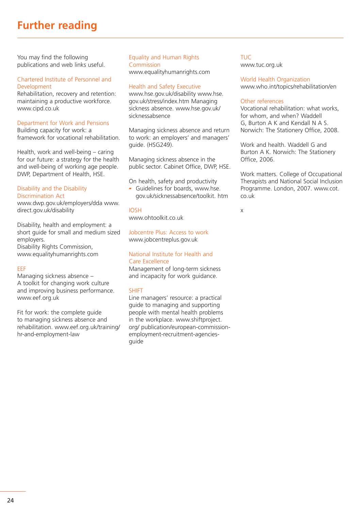# **Further reading**

You may find the following publications and web links useful.

### Chartered Institute of Personnel and Development

Rehabilitation, recovery and retention: maintaining a productive workforce. www.cipd.co.uk

#### Department for Work and Pensions

Building capacity for work: a framework for vocational rehabilitation.

Health, work and well-being – caring for our future: a strategy for the health and well-being of working age people. DWP, Department of Health, HSE.

#### Disability and the Disability Discrimination Act

www.dwp.gov.uk/employers/dda www. direct.gov.uk/disability

Disability, health and employment: a short guide for small and medium sized employers.

Disability Rights Commission, www.equalityhumanrights.com

### EEF

Managing sickness absence – A toolkit for changing work culture and improving business performance. www.eef.org.uk

Fit for work: the complete guide to managing sickness absence and rehabilitation. www.eef.org.uk/training/ hr-and-employment-law

Equality and Human Rights Commission www.equalityhumanrights.com

#### Health and Safety Executive

www.hse.gov.uk/disability www.hse. gov.uk/stress/index.htm Managing sickness absence. www.hse.gov.uk/ sicknessabsence

Managing sickness absence and return to work: an employers' and managers' guide. (HSG249).

Managing sickness absence in the public sector. Cabinet Office, DWP, HSE.

On health, safety and productivity

- Guidelines for boards, www.hse. gov.uk/sicknessabsence/toolkit. htm

IOSH www.ohtoolkit.co.uk

Jobcentre Plus: Access to work www.jobcentreplus.gov.uk

#### National Institute for Health and Care Excellence

Management of long-term sickness and incapacity for work guidance.

### SHIFT

Line managers' resource: a practical guide to managing and supporting people with mental health problems in the workplace. www.shiftproject. org/ publication/european-commissionemployment-recruitment-agenciesguide

TUC

www.tuc.org.uk

### World Health Organization

www.who.int/topics/rehabilitation/en

#### Other references

Vocational rehabilitation: what works, for whom, and when? Waddell G, Burton A K and Kendall N A S. Norwich: The Stationery Office, 2008.

Work and health. Waddell G and Burton A K. Norwich: The Stationery Office, 2006.

Work matters. College of Occupational Therapists and National Social Inclusion Programme. London, 2007. www.cot. co.uk

x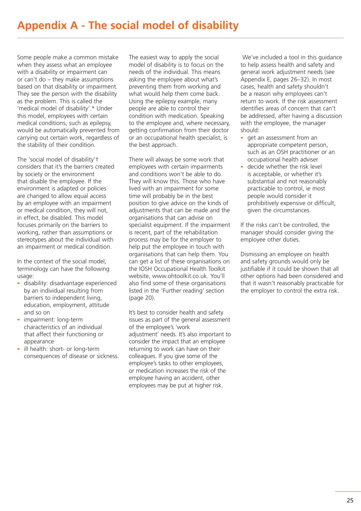Some people make a common mistake when they assess what an employee with a disability or impairment can or can't do – they make assumptions based on that disability or impairment. They see the person with the disability as the problem. This is called the 'medical model of disability'.\* Under this model, employees with certain medical conditions, such as epilepsy, would be automatically prevented from carrying out certain work, regardless of the stability of their condition.

The 'social model of disability'† considers that it's the barriers created by society or the environment that disable the employee. If the environment is adapted or policies are changed to allow equal access by an employee with an impairment or medical condition, they will not, in effect, be disabled. This model focuses primarily on the barriers to working, rather than assumptions or stereotypes about the individual with an impairment or medical condition.

In the context of the social model, terminology can have the following usage:

- disability: disadvantage experienced by an individual resulting from barriers to independent living, education, employment, attitude and so on
- impairment: long-term characteristics of an individual that affect their functioning or appearance
- ill health: short- or long-term consequences of disease or sickness.

The easiest way to apply the social model of disability is to focus on the needs of the individual. This means asking the employee about what's preventing them from working and what would help them come back. Using the epilepsy example, many people are able to control their condition with medication. Speaking to the employee and, where necessary, getting confirmation from their doctor or an occupational health specialist, is the best approach.

There will always be some work that employees with certain impairments and conditions won't be able to do. They will know this. Those who have lived with an impairment for some time will probably be in the best position to give advice on the kinds of adjustments that can be made and the organisations that can advise on specialist equipment. If the impairment is recent, part of the rehabilitation process may be for the employer to help put the employee in touch with organisations that can help them. You can get a list of these organisations on the IOSH Occupational Health Toolkit website, www.ohtoolkit.co.uk. You'll also find some of these organisations listed in the 'Further reading' section (page 20).

It's best to consider health and safety issues as part of the general assessment of the employee's 'work adjustment' needs. It's also important to consider the impact that an employee returning to work can have on their colleagues. If you give some of the employee's tasks to other employees, or medication increases the risk of the employee having an accident, other employees may be put at higher risk.

 We've included a tool in this guidance to help assess health and safety and general work adjustment needs (see Appendix E, pages 26–32). In most cases, health and safety shouldn't be a reason why employees can't return to work. If the risk assessment identifies areas of concern that can't be addressed, after having a discussion with the employee, the manager should:

- get an assessment from an appropriate competent person, such as an OSH practitioner or an occupational health adviser
- decide whether the risk level is acceptable, or whether it's substantial and not reasonably practicable to control, ie most people would consider it prohibitively expensive or difficult, given the circumstances.

If the risks can't be controlled, the manager should consider giving the employee other duties.

Dismissing an employee on health and safety grounds would only be justifiable if it could be shown that all other options had been considered and that it wasn't reasonably practicable for the employer to control the extra risk.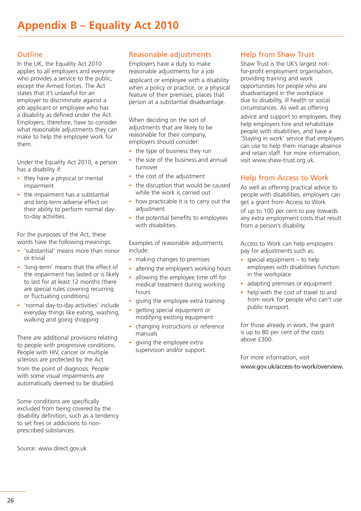# **Outline**

In the UK, the Equality Act 2010 applies to all employers and everyone who provides a service to the public. except the Armed Forces. The Act states that it's unlawful for an employer to discriminate against a job applicant or employee who has a disability as defined under the Act. Employers, therefore, have to consider what reasonable adjustments they can make to help the employee work for them.

Under the Equality Act 2010, a person has a disability if:

- they have a physical or mental impairment
- the impairment has a substantial and long-term adverse effect on their ability to perform normal dayto-day activities.

For the purposes of the Act, these words have the following meanings:

- 'substantial' means more than minor or trivial
- 'long-term' means that the effect of the impairment has lasted or is likely to last for at least 12 months (there are special rules covering recurring or fluctuating conditions)
- 'normal day-to-day activities' include everyday things like eating, washing, walking and going shopping

There are additional provisions relating to people with progressive conditions. People with HIV, cancer or multiple sclerosis are protected by the Act from the point of diagnosis. People with some visual impairments are automatically deemed to be disabled.

Some conditions are specifically excluded from being covered by the disability definition, such as a tendency to set fires or addictions to nonprescribed substances.

Source: www.direct.gov.uk

### Reasonable adjustments

Employers have a duty to make reasonable adjustments for a job

applicant or employee with a disability when a policy or practice, or a physical feature of their premises, places that person at a substantial disadvantage.

When deciding on the sort of adjustments that are likely to be reasonable for their company, employers should consider:

- the type of business they run
- the size of the business and annual turnover
- the cost of the adjustment
- the disruption that would be caused while the work is carried out
- how practicable it is to carry out the adjustment
- the potential benefits to employees with disabilities.

Examples of reasonable adjustments include:

- making changes to premises
- altering the employee's working hours
- allowing the employee time off for medical treatment during working hours
- giving the employee extra training
- getting special equipment or modifying existing equipment
- changing instructions or reference manuals
- giving the employee extra supervision and/or support.

### Help from Shaw Trust

Shaw Trust is the UK's largest notfor-profit employment organisation, providing training and work opportunities for people who are disadvantaged in the workplace due to disability, ill health or social circumstances. As well as offering

advice and support to employees, they help employers hire and rehabilitate people with disabilities, and have a 'Staying in work' service that employers can use to help them manage absence and retain staff. For more information, visit www.shaw-trust.org.uk.

# Help from Access to Work

As well as offering practical advice to people with disabilities, employers can get a grant from Access to Work

of up to 100 per cent to pay towards any extra employment costs that result from a person's disability.

Access to Work can help employers pay for adjustments such as:

- special equipment  $-$  to help employees with disabilities function in the workplace
- adapting premises or equipment
- help with the cost of travel to and from work for people who can't use public transport.

For those already in work, the grant is up to 80 per cent of the costs above £300.

For more information, visit www.gov.uk/access-to-work/overview.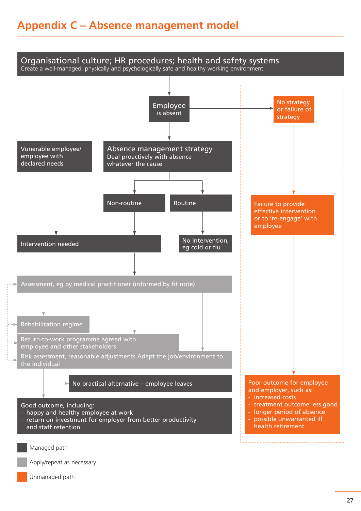# **Appendix C – Absence management model**

![](_page_26_Figure_1.jpeg)

Unmanaged path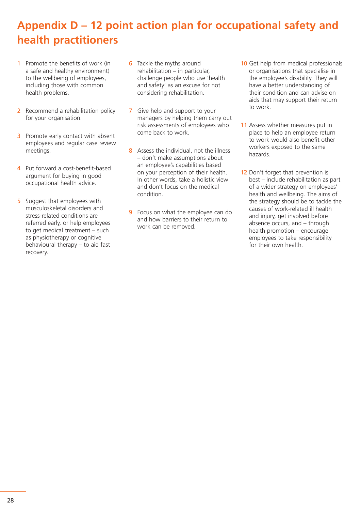# **Appendix D – 12 point action plan for occupational safety and health practitioners**

- 1 Promote the benefits of work (in a safe and healthy environment) to the wellbeing of employees, including those with common health problems.
- 2 Recommend a rehabilitation policy for your organisation.
- **3** Promote early contact with absent employees and regular case review meetings.
- 4 Put forward a cost-benefit-based argument for buying in good occupational health advice.
- 5 Suggest that employees with musculoskeletal disorders and stress-related conditions are referred early, or help employees to get medical treatment – such as physiotherapy or cognitive behavioural therapy – to aid fast recovery.
- **6** Tackle the myths around rehabilitation – in particular, challenge people who use 'health and safety' as an excuse for not considering rehabilitation.
- 7 Give help and support to your managers by helping them carry out risk assessments of employees who come back to work.
- 8 Assess the individual, not the illness – don't make assumptions about an employee's capabilities based on your perception of their health. In other words, take a holistic view and don't focus on the medical condition.
- 9 Focus on what the employee can do and how barriers to their return to work can be removed.
- 10 Get help from medical professionals or organisations that specialise in the employee's disability. They will have a better understanding of their condition and can advise on aids that may support their return to work.
- 11 Assess whether measures put in place to help an employee return to work would also benefit other workers exposed to the same hazards.
- 12 Don't forget that prevention is best – include rehabilitation as part of a wider strategy on employees' health and wellbeing. The aims of the strategy should be to tackle the causes of work-related ill health and injury, get involved before absence occurs, and – through health promotion – encourage employees to take responsibility for their own health.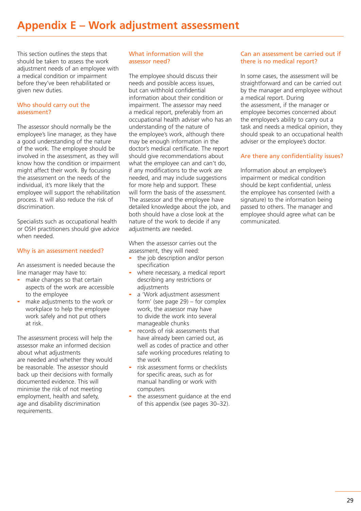This section outlines the steps that should be taken to assess the work adjustment needs of an employee with a medical condition or impairment before they've been rehabilitated or given new duties.

### Who should carry out the assessment?

The assessor should normally be the employee's line manager, as they have a good understanding of the nature of the work. The employee should be involved in the assessment, as they will know how the condition or impairment might affect their work. By focusing the assessment on the needs of the individual, it's more likely that the employee will support the rehabilitation process. It will also reduce the risk of discrimination.

Specialists such as occupational health or OSH practitioners should give advice when needed.

### Why is an assessment needed?

An assessment is needed because the line manager may have to:

- make changes so that certain aspects of the work are accessible to the employee
- make adjustments to the work or workplace to help the employee work safely and not put others at risk.

The assessment process will help the assessor make an informed decision about what adjustments are needed and whether they would be reasonable. The assessor should back up their decisions with formally documented evidence. This will minimise the risk of not meeting employment, health and safety, age and disability discrimination requirements.

### What information will the assessor need?

The employee should discuss their needs and possible access issues, but can withhold confidential information about their condition or impairment. The assessor may need a medical report, preferably from an occupational health adviser who has an understanding of the nature of the employee's work, although there may be enough information in the doctor's medical certificate. The report should give recommendations about what the employee can and can't do, if any modifications to the work are needed, and may include suggestions for more help and support. These will form the basis of the assessment. The assessor and the employee have detailed knowledge about the job, and both should have a close look at the nature of the work to decide if any adjustments are needed.

When the assessor carries out the assessment, they will need:

- the job description and/or person specification
- where necessary, a medical report describing any restrictions or adjustments
- a 'Work adjustment assessment form' (see page 29) – for complex work, the assessor may have to divide the work into several manageable chunks
- records of risk assessments that have already been carried out, as well as codes of practice and other safe working procedures relating to the work
- risk assessment forms or checklists for specific areas, such as for manual handling or work with computers
- the assessment guidance at the end of this appendix (see pages 30–32).

### Can an assessment be carried out if there is no medical report?

In some cases, the assessment will be straightforward and can be carried out by the manager and employee without a medical report. During the assessment, if the manager or employee becomes concerned about the employee's ability to carry out a task and needs a medical opinion, they should speak to an occupational health adviser or the employee's doctor.

# Are there any confidentiality issues?

Information about an employee's impairment or medical condition should be kept confidential, unless the employee has consented (with a signature) to the information being passed to others. The manager and employee should agree what can be communicated.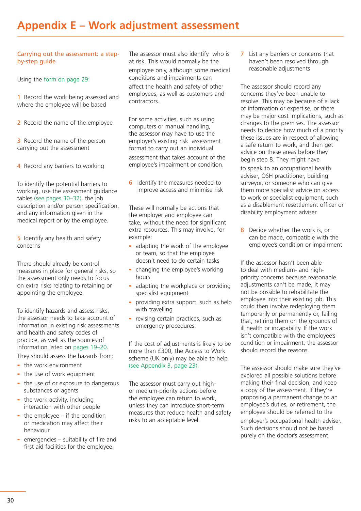### Carrying out the assessment: a stepby-step guide

Using the form on page 29:

- 1 Record the work being assessed and where the employee will be based
- 2 Record the name of the employee
- 3 Record the name of the person carrying out the assessment
- 4 Record any barriers to working

To identify the potential barriers to working, use the assessment guidance tables (see pages 30–32), the job description and/or person specification, and any information given in the medical report or by the employee.

### 5 Identify any health and safety concerns

There should already be control measures in place for general risks, so the assessment only needs to focus on extra risks relating to retaining or appointing the employee.

To identify hazards and assess risks, the assessor needs to take account of information in existing risk assessments and health and safety codes of practice, as well as the sources of information listed on pages 19–20.

They should assess the hazards from:

- the work environment
- the use of work equipment
- the use of or exposure to dangerous substances or agents
- the work activity, including interaction with other people
- $-$  the employee if the condition or medication may affect their behaviour
- emergencies suitability of fire and first aid facilities for the employee.

The assessor must also identify who is at risk. This would normally be the employee only, although some medical conditions and impairments can affect the health and safety of other employees, as well as customers and contractors.

For some activities, such as using computers or manual handling, the assessor may have to use the employer's existing risk assessment format to carry out an individual assessment that takes account of the employee's impairment or condition.

6 Identify the measures needed to improve access and minimise risk

These will normally be actions that the employer and employee can take, without the need for significant extra resources. This may involve, for example:

- adapting the work of the employee or team, so that the employee doesn't need to do certain tasks
- changing the employee's working hours
- adapting the workplace or providing specialist equipment
- providing extra support, such as help with travelling
- revising certain practices, such as emergency procedures.

If the cost of adjustments is likely to be more than £300, the Access to Work scheme (UK only) may be able to help (see Appendix B, page 23).

The assessor must carry out highor medium-priority actions before the employee can return to work, unless they can introduce short-term measures that reduce health and safety risks to an acceptable level.

7 List any barriers or concerns that haven't been resolved through reasonable adjustments

The assessor should record any concerns they've been unable to resolve. This may be because of a lack of information or expertise, or there may be major cost implications, such as changes to the premises. The assessor needs to decide how much of a priority these issues are in respect of allowing a safe return to work, and then get advice on these areas before they begin step 8. They might have

to speak to an occupational health adviser, OSH practitioner, building surveyor, or someone who can give them more specialist advice on access to work or specialist equipment, such as a disablement resettlement officer or disability employment adviser.

8 Decide whether the work is, or can be made, compatible with the employee's condition or impairment

If the assessor hasn't been able to deal with medium- and highpriority concerns because reasonable adjustments can't be made, it may not be possible to rehabilitate the employee into their existing job. This could then involve redeploying them temporarily or permanently or, failing that, retiring them on the grounds of ill health or incapability. If the work isn't compatible with the employee's condition or impairment, the assessor should record the reasons.

The assessor should make sure they've explored all possible solutions before making their final decision, and keep a copy of the assessment. If they're proposing a permanent change to an employee's duties, or retirement, the employee should be referred to the

employer's occupational health adviser. Such decisions should not be based purely on the doctor's assessment.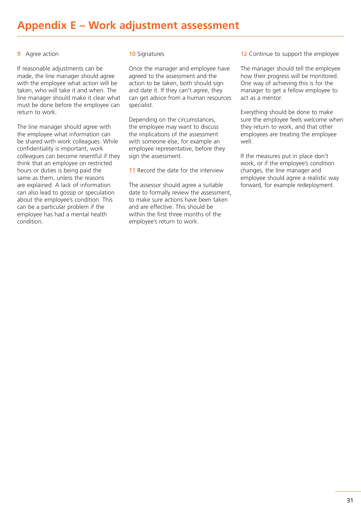### 9 Agree action

If reasonable adjustments can be made, the line manager should agree with the employee what action will be taken, who will take it and when. The line manager should make it clear what must be done before the employee can return to work.

The line manager should agree with the employee what information can be shared with work colleagues. While confidentiality is important, work colleagues can become resentful if they think that an employee on restricted hours or duties is being paid the same as them, unless the reasons are explained. A lack of information can also lead to gossip or speculation about the employee's condition. This can be a particular problem if the employee has had a mental health condition.

#### 10 Signatures

Once the manager and employee have agreed to the assessment and the action to be taken, both should sign and date it. If they can't agree, they can get advice from a human resources specialist.

Depending on the circumstances, the employee may want to discuss the implications of the assessment with someone else, for example an employee representative, before they sign the assessment.

11 Record the date for the interview

The assessor should agree a suitable date to formally review the assessment, to make sure actions have been taken and are effective. This should be within the first three months of the employee's return to work.

12 Continue to support the employee

The manager should tell the employee how their progress will be monitored. One way of achieving this is for the manager to get a fellow employee to act as a mentor.

Everything should be done to make sure the employee feels welcome when they return to work, and that other employees are treating the employee well.

If the measures put in place don't work, or if the employee's condition changes, the line manager and employee should agree a realistic way forward, for example redeployment.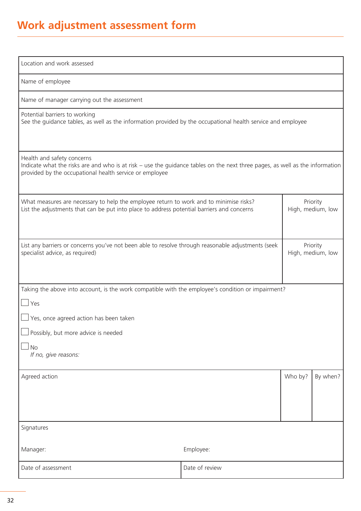# **Work adjustment assessment form**

| Location and work assessed                                                                                                                                                                                            |                |         |                               |  |
|-----------------------------------------------------------------------------------------------------------------------------------------------------------------------------------------------------------------------|----------------|---------|-------------------------------|--|
| Name of employee                                                                                                                                                                                                      |                |         |                               |  |
| Name of manager carrying out the assessment                                                                                                                                                                           |                |         |                               |  |
| Potential barriers to working<br>See the guidance tables, as well as the information provided by the occupational health service and employee                                                                         |                |         |                               |  |
| Health and safety concerns<br>Indicate what the risks are and who is at risk - use the guidance tables on the next three pages, as well as the information<br>provided by the occupational health service or employee |                |         |                               |  |
| What measures are necessary to help the employee return to work and to minimise risks?<br>List the adjustments that can be put into place to address potential barriers and concerns                                  |                |         | Priority<br>High, medium, low |  |
| List any barriers or concerns you've not been able to resolve through reasonable adjustments (seek<br>specialist advice, as required)                                                                                 |                |         | Priority<br>High, medium, low |  |
| Taking the above into account, is the work compatible with the employee's condition or impairment?                                                                                                                    |                |         |                               |  |
| $\Box$ Yes                                                                                                                                                                                                            |                |         |                               |  |
| $\Box$ Yes, once agreed action has been taken                                                                                                                                                                         |                |         |                               |  |
| Possibly, but more advice is needed                                                                                                                                                                                   |                |         |                               |  |
| $\Box$ No<br>If no, give reasons:                                                                                                                                                                                     |                |         |                               |  |
| Agreed action                                                                                                                                                                                                         |                | Who by? | By when?                      |  |
|                                                                                                                                                                                                                       |                |         |                               |  |
| Signatures                                                                                                                                                                                                            |                |         |                               |  |
| Manager:                                                                                                                                                                                                              | Employee:      |         |                               |  |
| Date of assessment                                                                                                                                                                                                    | Date of review |         |                               |  |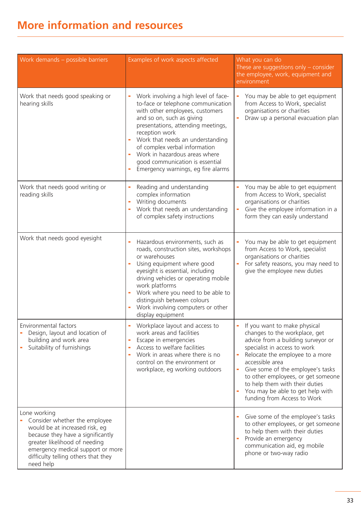# **More information and resources**

| Work demands - possible barriers                                                                                                                                                                                                               | Examples of work aspects affected                                                                                                                                                                                                                                                                                                                                                 | What you can do<br>These are suggestions only $-$ consider<br>the employee, work, equipment and<br>environment                                                                                                                                                                                                                                                            |
|------------------------------------------------------------------------------------------------------------------------------------------------------------------------------------------------------------------------------------------------|-----------------------------------------------------------------------------------------------------------------------------------------------------------------------------------------------------------------------------------------------------------------------------------------------------------------------------------------------------------------------------------|---------------------------------------------------------------------------------------------------------------------------------------------------------------------------------------------------------------------------------------------------------------------------------------------------------------------------------------------------------------------------|
| Work that needs good speaking or<br>hearing skills                                                                                                                                                                                             | Work involving a high level of face-<br>to-face or telephone communication<br>with other employees, customers<br>and so on, such as giving<br>presentations, attending meetings,<br>reception work<br>Work that needs an understanding<br>of complex verbal information<br>Work in hazardous areas where<br>good communication is essential<br>Emergency warnings, eg fire alarms | You may be able to get equipment<br>from Access to Work, specialist<br>organisations or charities<br>Draw up a personal evacuation plan                                                                                                                                                                                                                                   |
| Work that needs good writing or<br>reading skills                                                                                                                                                                                              | Reading and understanding<br>complex information<br>Writing documents<br>Work that needs an understanding<br>of complex safety instructions                                                                                                                                                                                                                                       | You may be able to get equipment<br>from Access to Work, specialist<br>organisations or charities<br>Give the employee information in a<br>form they can easily understand                                                                                                                                                                                                |
| Work that needs good eyesight                                                                                                                                                                                                                  | Hazardous environments, such as<br>roads, construction sites, workshops<br>or warehouses<br>Using equipment where good<br>eyesight is essential, including<br>driving vehicles or operating mobile<br>work platforms<br>Work where you need to be able to<br>distinguish between colours<br>Work involving computers or other<br>display equipment                                | You may be able to get equipment<br>from Access to Work, specialist<br>organisations or charities<br>For safety reasons, you may need to<br>give the employee new duties                                                                                                                                                                                                  |
| Environmental factors<br>Design, layout and location of<br>building and work area<br>Suitability of furnishings                                                                                                                                | Workplace layout and access to<br>work areas and facilities<br>Escape in emergencies<br>Access to welfare facilities<br>Work in areas where there is no<br>control on the environment or<br>workplace, eg working outdoors                                                                                                                                                        | If you want to make physical<br>changes to the workplace, get<br>advice from a building surveyor or<br>specialist in access to work<br>Relocate the employee to a more<br>accessible area<br>Give some of the employee's tasks<br>to other employees, or get someone<br>to help them with their duties<br>You may be able to get help with<br>funding from Access to Work |
| Lone working<br>Consider whether the employee<br>would be at increased risk, eg<br>because they have a significantly<br>greater likelihood of needing<br>emergency medical support or more<br>difficulty telling others that they<br>need help |                                                                                                                                                                                                                                                                                                                                                                                   | Give some of the employee's tasks<br>to other employees, or get someone<br>to help them with their duties<br>Provide an emergency<br>communication aid, eg mobile<br>phone or two-way radio                                                                                                                                                                               |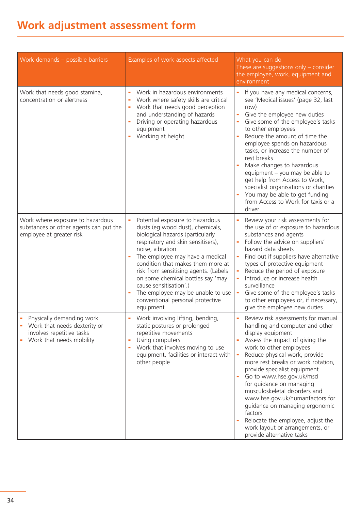# **Work adjustment assessment form**

| Work demands - possible barriers                                                                                   | Examples of work aspects affected                                                                                                                                                                                                                                                                                                                                                                                                                         | What you can do<br>These are suggestions only $-$ consider<br>the employee, work, equipment and<br>environment                                                                                                                                                                                                                                                                                                                                                                                                                                     |
|--------------------------------------------------------------------------------------------------------------------|-----------------------------------------------------------------------------------------------------------------------------------------------------------------------------------------------------------------------------------------------------------------------------------------------------------------------------------------------------------------------------------------------------------------------------------------------------------|----------------------------------------------------------------------------------------------------------------------------------------------------------------------------------------------------------------------------------------------------------------------------------------------------------------------------------------------------------------------------------------------------------------------------------------------------------------------------------------------------------------------------------------------------|
| Work that needs good stamina,<br>concentration or alertness                                                        | Work in hazardous environments<br>Work where safety skills are critical<br>Work that needs good perception<br>and understanding of hazards<br>Driving or operating hazardous<br>equipment<br>Working at height                                                                                                                                                                                                                                            | If you have any medical concerns,<br>$\blacksquare$<br>see 'Medical issues' (page 32, last<br>row)<br>Give the employee new duties<br>Give some of the employee's tasks<br>to other employees<br>Reduce the amount of time the<br>employee spends on hazardous<br>tasks, or increase the number of<br>rest breaks<br>Make changes to hazardous<br>equipment - you may be able to<br>get help from Access to Work,<br>specialist organisations or charities<br>You may be able to get funding<br>from Access to Work for taxis or a<br>driver       |
| Work where exposure to hazardous<br>substances or other agents can put the<br>employee at greater risk             | Potential exposure to hazardous<br>$\blacksquare$<br>dusts (eg wood dust), chemicals,<br>biological hazards (particularly<br>respiratory and skin sensitisers),<br>noise, vibration<br>The employee may have a medical<br>condition that makes them more at<br>risk from sensitising agents. (Labels<br>on some chemical bottles say 'may<br>cause sensitisation'.)<br>The employee may be unable to use<br>conventional personal protective<br>equipment | Review your risk assessments for<br>the use of or exposure to hazardous<br>substances and agents<br>Follow the advice on suppliers'<br>hazard data sheets<br>Find out if suppliers have alternative<br>types of protective equipment<br>Reduce the period of exposure<br>Introduce or increase health<br>surveillance<br>Give some of the employee's tasks<br>to other employees or, if necessary,<br>give the employee new duties                                                                                                                 |
| Physically demanding work<br>Work that needs dexterity or<br>involves repetitive tasks<br>Work that needs mobility | Work involving lifting, bending,<br>static postures or prolonged<br>repetitive movements<br>Using computers<br>Work that involves moving to use<br>equipment, facilities or interact with<br>other people                                                                                                                                                                                                                                                 | Review risk assessments for manual<br>handling and computer and other<br>display equipment<br>Assess the impact of giving the<br>work to other employees<br>Reduce physical work, provide<br>÷<br>more rest breaks or work rotation,<br>provide specialist equipment<br>Go to www.hse.gov.uk/msd<br>for guidance on managing<br>musculoskeletal disorders and<br>www.hse.gov.uk/humanfactors for<br>guidance on managing ergonomic<br>factors<br>Relocate the employee, adjust the<br>work layout or arrangements, or<br>provide alternative tasks |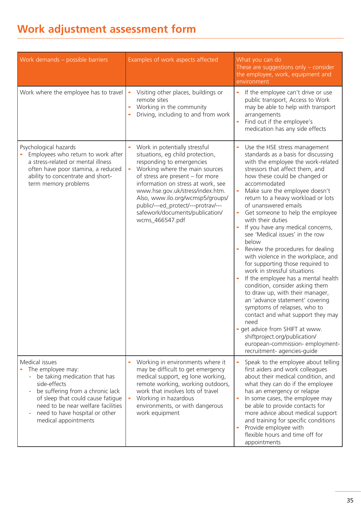# **Work adjustment assessment form**

| Work demands - possible barriers                                                                                                                                                                                                                              | Examples of work aspects affected                                                                                                                                                                                                                                                                                                                                                      | What you can do<br>These are suggestions only $-$ consider<br>the employee, work, equipment and<br>environment                                                                                                                                                                                                                                                                                                                                                                                                                                                                                                                                                                                                                                                                                                                                                                                                                                               |
|---------------------------------------------------------------------------------------------------------------------------------------------------------------------------------------------------------------------------------------------------------------|----------------------------------------------------------------------------------------------------------------------------------------------------------------------------------------------------------------------------------------------------------------------------------------------------------------------------------------------------------------------------------------|--------------------------------------------------------------------------------------------------------------------------------------------------------------------------------------------------------------------------------------------------------------------------------------------------------------------------------------------------------------------------------------------------------------------------------------------------------------------------------------------------------------------------------------------------------------------------------------------------------------------------------------------------------------------------------------------------------------------------------------------------------------------------------------------------------------------------------------------------------------------------------------------------------------------------------------------------------------|
| Work where the employee has to travel                                                                                                                                                                                                                         | Visiting other places, buildings or<br>remote sites<br>Working in the community<br>Driving, including to and from work                                                                                                                                                                                                                                                                 | If the employee can't drive or use<br>public transport, Access to Work<br>may be able to help with transport<br>arrangements<br>Find out if the employee's<br>medication has any side effects                                                                                                                                                                                                                                                                                                                                                                                                                                                                                                                                                                                                                                                                                                                                                                |
| Psychological hazards<br>Employees who return to work after<br>a stress-related or mental illness<br>often have poor stamina, a reduced<br>ability to concentrate and short-<br>term memory problems                                                          | Work in potentially stressful<br>situations, eg child protection,<br>responding to emergencies<br>Working where the main sources<br>۰<br>of stress are present $-$ for more<br>information on stress at work, see<br>www.hse.gov.uk/stress/index.htm.<br>Also, www.ilo.org/wcmsp5/groups/<br>public/---ed_protect/---protrav/---<br>safework/documents/publication/<br>wcms_466547.pdf | Use the HSE stress management<br>standards as a basis for discussing<br>with the employee the work-related<br>stressors that affect them, and<br>how these could be changed or<br>accommodated<br>Make sure the employee doesn't<br>return to a heavy workload or lots<br>of unanswered emails<br>Get someone to help the employee<br>with their duties<br>If you have any medical concerns,<br>see 'Medical issues' in the row<br>below<br>Review the procedures for dealing<br>with violence in the workplace, and<br>for supporting those required to<br>work in stressful situations<br>If the employee has a mental health<br>condition, consider asking them<br>to draw up, with their manager,<br>an 'advance statement' covering<br>symptoms of relapses, who to<br>contact and what support they may<br>need<br>- get advice from SHIFT at www.<br>shiftproject.org/publication/<br>european-commission- employment-<br>recruitment- agencies-guide |
| Medical issues<br>The employee may:<br>be taking medication that has<br>side-effects<br>be suffering from a chronic lack<br>of sleep that could cause fatigue<br>need to be near welfare facilities<br>need to have hospital or other<br>medical appointments | Working in environments where it<br>may be difficult to get emergency<br>medical support, eg lone working,<br>remote working, working outdoors,<br>work that involves lots of travel<br>Working in hazardous<br>environments, or with dangerous<br>work equipment                                                                                                                      | Speak to the employee about telling<br>first aiders and work colleagues<br>about their medical condition, and<br>what they can do if the employee<br>has an emergency or relapse<br>In some cases, the employee may<br>be able to provide contacts for<br>more advice about medical support<br>and training for specific conditions<br>Provide employee with<br>×<br>flexible hours and time off for<br>appointments                                                                                                                                                                                                                                                                                                                                                                                                                                                                                                                                         |